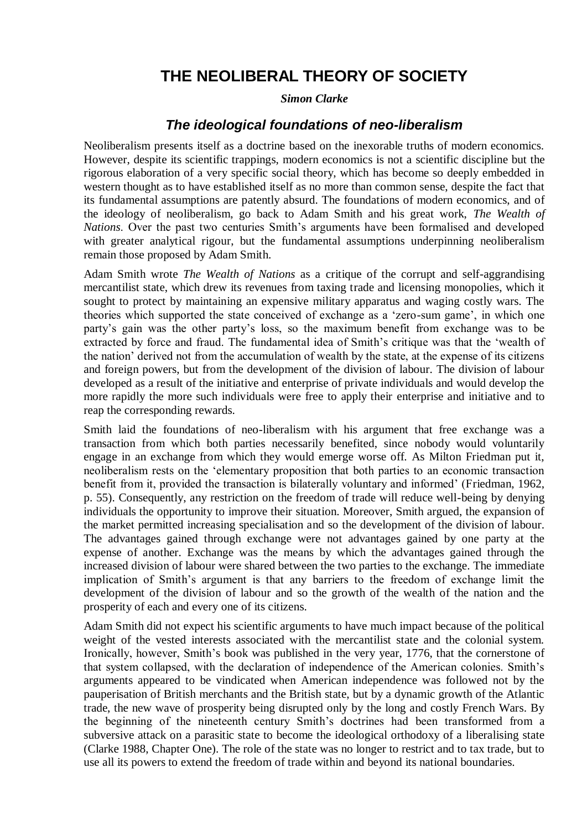# **THE NEOLIBERAL THEORY OF SOCIETY**

*Simon Clarke*

### *The ideological foundations of neo-liberalism*

Neoliberalism presents itself as a doctrine based on the inexorable truths of modern economics. However, despite its scientific trappings, modern economics is not a scientific discipline but the rigorous elaboration of a very specific social theory, which has become so deeply embedded in western thought as to have established itself as no more than common sense, despite the fact that its fundamental assumptions are patently absurd. The foundations of modern economics, and of the ideology of neoliberalism, go back to Adam Smith and his great work, *The Wealth of Nations*. Over the past two centuries Smith's arguments have been formalised and developed with greater analytical rigour, but the fundamental assumptions underpinning neoliberalism remain those proposed by Adam Smith.

Adam Smith wrote *The Wealth of Nations* as a critique of the corrupt and self-aggrandising mercantilist state, which drew its revenues from taxing trade and licensing monopolies, which it sought to protect by maintaining an expensive military apparatus and waging costly wars. The theories which supported the state conceived of exchange as a 'zero-sum game', in which one party's gain was the other party's loss, so the maximum benefit from exchange was to be extracted by force and fraud. The fundamental idea of Smith's critique was that the 'wealth of the nation' derived not from the accumulation of wealth by the state, at the expense of its citizens and foreign powers, but from the development of the division of labour. The division of labour developed as a result of the initiative and enterprise of private individuals and would develop the more rapidly the more such individuals were free to apply their enterprise and initiative and to reap the corresponding rewards.

Smith laid the foundations of neo-liberalism with his argument that free exchange was a transaction from which both parties necessarily benefited, since nobody would voluntarily engage in an exchange from which they would emerge worse off. As Milton Friedman put it, neoliberalism rests on the 'elementary proposition that both parties to an economic transaction benefit from it, provided the transaction is bilaterally voluntary and informed' (Friedman, 1962, p. 55). Consequently, any restriction on the freedom of trade will reduce well-being by denying individuals the opportunity to improve their situation. Moreover, Smith argued, the expansion of the market permitted increasing specialisation and so the development of the division of labour. The advantages gained through exchange were not advantages gained by one party at the expense of another. Exchange was the means by which the advantages gained through the increased division of labour were shared between the two parties to the exchange. The immediate implication of Smith's argument is that any barriers to the freedom of exchange limit the development of the division of labour and so the growth of the wealth of the nation and the prosperity of each and every one of its citizens.

Adam Smith did not expect his scientific arguments to have much impact because of the political weight of the vested interests associated with the mercantilist state and the colonial system. Ironically, however, Smith's book was published in the very year, 1776, that the cornerstone of that system collapsed, with the declaration of independence of the American colonies. Smith's arguments appeared to be vindicated when American independence was followed not by the pauperisation of British merchants and the British state, but by a dynamic growth of the Atlantic trade, the new wave of prosperity being disrupted only by the long and costly French Wars. By the beginning of the nineteenth century Smith's doctrines had been transformed from a subversive attack on a parasitic state to become the ideological orthodoxy of a liberalising state (Clarke 1988, Chapter One). The role of the state was no longer to restrict and to tax trade, but to use all its powers to extend the freedom of trade within and beyond its national boundaries.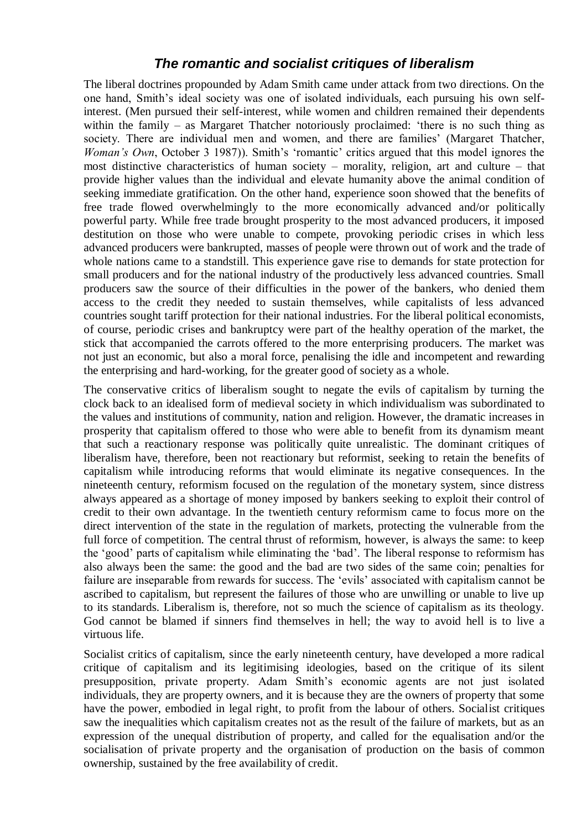# *The romantic and socialist critiques of liberalism*

The liberal doctrines propounded by Adam Smith came under attack from two directions. On the one hand, Smith's ideal society was one of isolated individuals, each pursuing his own selfinterest. (Men pursued their self-interest, while women and children remained their dependents within the family – as Margaret Thatcher notoriously proclaimed: 'there is no such thing as society. There are individual men and women, and there are families' (Margaret Thatcher, *Woman's Own*, October 3 1987)). Smith's 'romantic' critics argued that this model ignores the most distinctive characteristics of human society – morality, religion, art and culture – that provide higher values than the individual and elevate humanity above the animal condition of seeking immediate gratification. On the other hand, experience soon showed that the benefits of free trade flowed overwhelmingly to the more economically advanced and/or politically powerful party. While free trade brought prosperity to the most advanced producers, it imposed destitution on those who were unable to compete, provoking periodic crises in which less advanced producers were bankrupted, masses of people were thrown out of work and the trade of whole nations came to a standstill. This experience gave rise to demands for state protection for small producers and for the national industry of the productively less advanced countries. Small producers saw the source of their difficulties in the power of the bankers, who denied them access to the credit they needed to sustain themselves, while capitalists of less advanced countries sought tariff protection for their national industries. For the liberal political economists, of course, periodic crises and bankruptcy were part of the healthy operation of the market, the stick that accompanied the carrots offered to the more enterprising producers. The market was not just an economic, but also a moral force, penalising the idle and incompetent and rewarding the enterprising and hard-working, for the greater good of society as a whole.

The conservative critics of liberalism sought to negate the evils of capitalism by turning the clock back to an idealised form of medieval society in which individualism was subordinated to the values and institutions of community, nation and religion. However, the dramatic increases in prosperity that capitalism offered to those who were able to benefit from its dynamism meant that such a reactionary response was politically quite unrealistic. The dominant critiques of liberalism have, therefore, been not reactionary but reformist, seeking to retain the benefits of capitalism while introducing reforms that would eliminate its negative consequences. In the nineteenth century, reformism focused on the regulation of the monetary system, since distress always appeared as a shortage of money imposed by bankers seeking to exploit their control of credit to their own advantage. In the twentieth century reformism came to focus more on the direct intervention of the state in the regulation of markets, protecting the vulnerable from the full force of competition. The central thrust of reformism, however, is always the same: to keep the 'good' parts of capitalism while eliminating the 'bad'. The liberal response to reformism has also always been the same: the good and the bad are two sides of the same coin; penalties for failure are inseparable from rewards for success. The 'evils' associated with capitalism cannot be ascribed to capitalism, but represent the failures of those who are unwilling or unable to live up to its standards. Liberalism is, therefore, not so much the science of capitalism as its theology. God cannot be blamed if sinners find themselves in hell; the way to avoid hell is to live a virtuous life.

Socialist critics of capitalism, since the early nineteenth century, have developed a more radical critique of capitalism and its legitimising ideologies, based on the critique of its silent presupposition, private property. Adam Smith's economic agents are not just isolated individuals, they are property owners, and it is because they are the owners of property that some have the power, embodied in legal right, to profit from the labour of others. Socialist critiques saw the inequalities which capitalism creates not as the result of the failure of markets, but as an expression of the unequal distribution of property, and called for the equalisation and/or the socialisation of private property and the organisation of production on the basis of common ownership, sustained by the free availability of credit.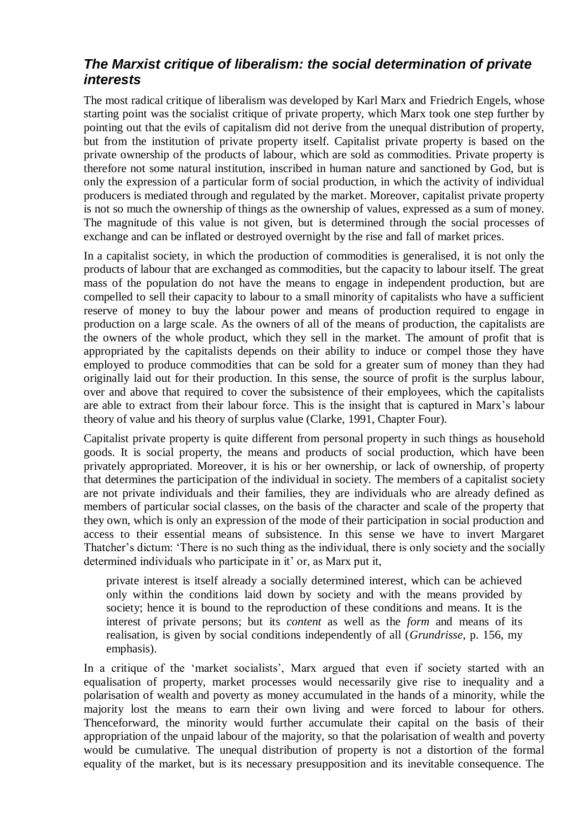# *The Marxist critique of liberalism: the social determination of private interests*

The most radical critique of liberalism was developed by Karl Marx and Friedrich Engels, whose starting point was the socialist critique of private property, which Marx took one step further by pointing out that the evils of capitalism did not derive from the unequal distribution of property, but from the institution of private property itself. Capitalist private property is based on the private ownership of the products of labour, which are sold as commodities. Private property is therefore not some natural institution, inscribed in human nature and sanctioned by God, but is only the expression of a particular form of social production, in which the activity of individual producers is mediated through and regulated by the market. Moreover, capitalist private property is not so much the ownership of things as the ownership of values, expressed as a sum of money. The magnitude of this value is not given, but is determined through the social processes of exchange and can be inflated or destroyed overnight by the rise and fall of market prices.

In a capitalist society, in which the production of commodities is generalised, it is not only the products of labour that are exchanged as commodities, but the capacity to labour itself. The great mass of the population do not have the means to engage in independent production, but are compelled to sell their capacity to labour to a small minority of capitalists who have a sufficient reserve of money to buy the labour power and means of production required to engage in production on a large scale. As the owners of all of the means of production, the capitalists are the owners of the whole product, which they sell in the market. The amount of profit that is appropriated by the capitalists depends on their ability to induce or compel those they have employed to produce commodities that can be sold for a greater sum of money than they had originally laid out for their production. In this sense, the source of profit is the surplus labour, over and above that required to cover the subsistence of their employees, which the capitalists are able to extract from their labour force. This is the insight that is captured in Marx's labour theory of value and his theory of surplus value (Clarke, 1991, Chapter Four).

Capitalist private property is quite different from personal property in such things as household goods. It is social property, the means and products of social production, which have been privately appropriated. Moreover, it is his or her ownership, or lack of ownership, of property that determines the participation of the individual in society. The members of a capitalist society are not private individuals and their families, they are individuals who are already defined as members of particular social classes, on the basis of the character and scale of the property that they own, which is only an expression of the mode of their participation in social production and access to their essential means of subsistence. In this sense we have to invert Margaret Thatcher's dictum: 'There is no such thing as the individual, there is only society and the socially determined individuals who participate in it' or, as Marx put it,

private interest is itself already a socially determined interest, which can be achieved only within the conditions laid down by society and with the means provided by society; hence it is bound to the reproduction of these conditions and means. It is the interest of private persons; but its *content* as well as the *form* and means of its realisation, is given by social conditions independently of all (*Grundrisse*, p. 156, my emphasis).

In a critique of the 'market socialists', Marx argued that even if society started with an equalisation of property, market processes would necessarily give rise to inequality and a polarisation of wealth and poverty as money accumulated in the hands of a minority, while the majority lost the means to earn their own living and were forced to labour for others. Thenceforward, the minority would further accumulate their capital on the basis of their appropriation of the unpaid labour of the majority, so that the polarisation of wealth and poverty would be cumulative. The unequal distribution of property is not a distortion of the formal equality of the market, but is its necessary presupposition and its inevitable consequence. The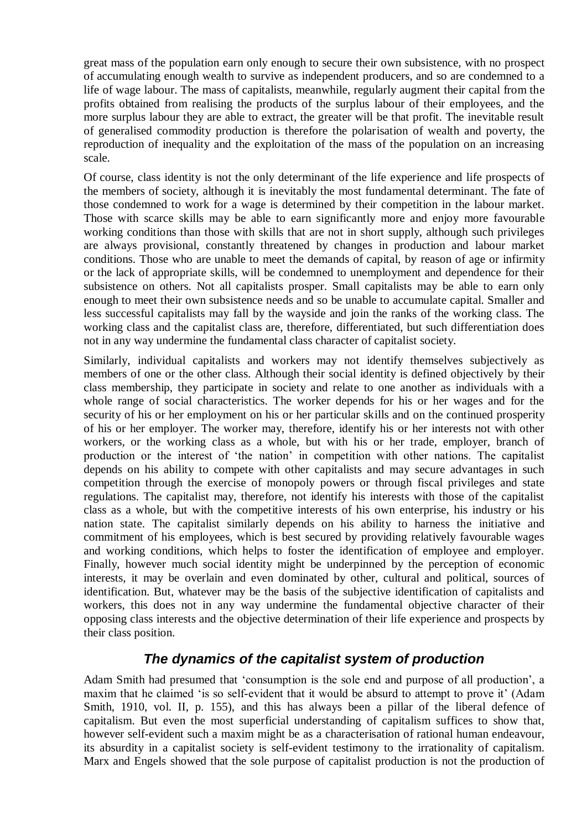great mass of the population earn only enough to secure their own subsistence, with no prospect of accumulating enough wealth to survive as independent producers, and so are condemned to a life of wage labour. The mass of capitalists, meanwhile, regularly augment their capital from the profits obtained from realising the products of the surplus labour of their employees, and the more surplus labour they are able to extract, the greater will be that profit. The inevitable result of generalised commodity production is therefore the polarisation of wealth and poverty, the reproduction of inequality and the exploitation of the mass of the population on an increasing scale.

Of course, class identity is not the only determinant of the life experience and life prospects of the members of society, although it is inevitably the most fundamental determinant. The fate of those condemned to work for a wage is determined by their competition in the labour market. Those with scarce skills may be able to earn significantly more and enjoy more favourable working conditions than those with skills that are not in short supply, although such privileges are always provisional, constantly threatened by changes in production and labour market conditions. Those who are unable to meet the demands of capital, by reason of age or infirmity or the lack of appropriate skills, will be condemned to unemployment and dependence for their subsistence on others. Not all capitalists prosper. Small capitalists may be able to earn only enough to meet their own subsistence needs and so be unable to accumulate capital. Smaller and less successful capitalists may fall by the wayside and join the ranks of the working class. The working class and the capitalist class are, therefore, differentiated, but such differentiation does not in any way undermine the fundamental class character of capitalist society.

Similarly, individual capitalists and workers may not identify themselves subjectively as members of one or the other class. Although their social identity is defined objectively by their class membership, they participate in society and relate to one another as individuals with a whole range of social characteristics. The worker depends for his or her wages and for the security of his or her employment on his or her particular skills and on the continued prosperity of his or her employer. The worker may, therefore, identify his or her interests not with other workers, or the working class as a whole, but with his or her trade, employer, branch of production or the interest of 'the nation' in competition with other nations. The capitalist depends on his ability to compete with other capitalists and may secure advantages in such competition through the exercise of monopoly powers or through fiscal privileges and state regulations. The capitalist may, therefore, not identify his interests with those of the capitalist class as a whole, but with the competitive interests of his own enterprise, his industry or his nation state. The capitalist similarly depends on his ability to harness the initiative and commitment of his employees, which is best secured by providing relatively favourable wages and working conditions, which helps to foster the identification of employee and employer. Finally, however much social identity might be underpinned by the perception of economic interests, it may be overlain and even dominated by other, cultural and political, sources of identification. But, whatever may be the basis of the subjective identification of capitalists and workers, this does not in any way undermine the fundamental objective character of their opposing class interests and the objective determination of their life experience and prospects by their class position.

# *The dynamics of the capitalist system of production*

Adam Smith had presumed that 'consumption is the sole end and purpose of all production', a maxim that he claimed 'is so self-evident that it would be absurd to attempt to prove it' (Adam Smith, 1910, vol. II, p. 155), and this has always been a pillar of the liberal defence of capitalism. But even the most superficial understanding of capitalism suffices to show that, however self-evident such a maxim might be as a characterisation of rational human endeavour, its absurdity in a capitalist society is self-evident testimony to the irrationality of capitalism. Marx and Engels showed that the sole purpose of capitalist production is not the production of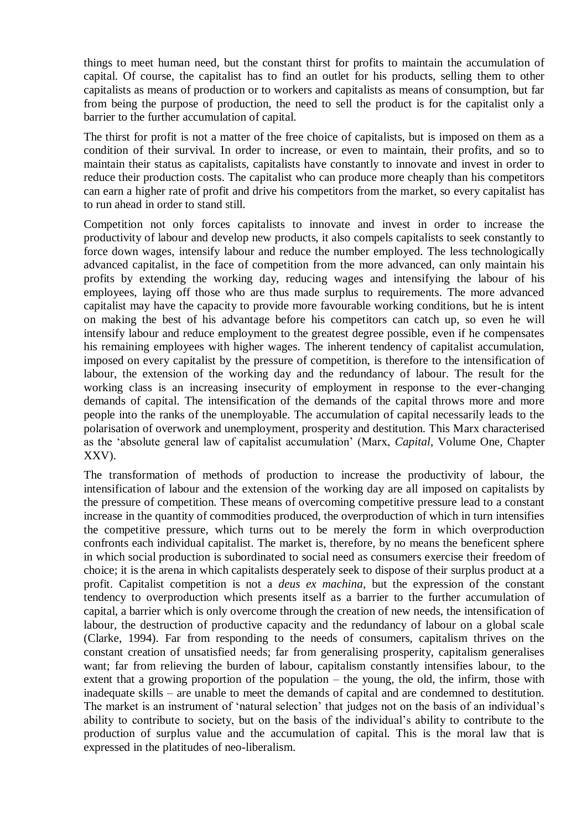things to meet human need, but the constant thirst for profits to maintain the accumulation of capital. Of course, the capitalist has to find an outlet for his products, selling them to other capitalists as means of production or to workers and capitalists as means of consumption, but far from being the purpose of production, the need to sell the product is for the capitalist only a barrier to the further accumulation of capital.

The thirst for profit is not a matter of the free choice of capitalists, but is imposed on them as a condition of their survival. In order to increase, or even to maintain, their profits, and so to maintain their status as capitalists, capitalists have constantly to innovate and invest in order to reduce their production costs. The capitalist who can produce more cheaply than his competitors can earn a higher rate of profit and drive his competitors from the market, so every capitalist has to run ahead in order to stand still.

Competition not only forces capitalists to innovate and invest in order to increase the productivity of labour and develop new products, it also compels capitalists to seek constantly to force down wages, intensify labour and reduce the number employed. The less technologically advanced capitalist, in the face of competition from the more advanced, can only maintain his profits by extending the working day, reducing wages and intensifying the labour of his employees, laying off those who are thus made surplus to requirements. The more advanced capitalist may have the capacity to provide more favourable working conditions, but he is intent on making the best of his advantage before his competitors can catch up, so even he will intensify labour and reduce employment to the greatest degree possible, even if he compensates his remaining employees with higher wages. The inherent tendency of capitalist accumulation, imposed on every capitalist by the pressure of competition, is therefore to the intensification of labour, the extension of the working day and the redundancy of labour. The result for the working class is an increasing insecurity of employment in response to the ever-changing demands of capital. The intensification of the demands of the capital throws more and more people into the ranks of the unemployable. The accumulation of capital necessarily leads to the polarisation of overwork and unemployment, prosperity and destitution. This Marx characterised as the 'absolute general law of capitalist accumulation' (Marx, *Capital*, Volume One, Chapter XXV).

The transformation of methods of production to increase the productivity of labour, the intensification of labour and the extension of the working day are all imposed on capitalists by the pressure of competition. These means of overcoming competitive pressure lead to a constant increase in the quantity of commodities produced, the overproduction of which in turn intensifies the competitive pressure, which turns out to be merely the form in which overproduction confronts each individual capitalist. The market is, therefore, by no means the beneficent sphere in which social production is subordinated to social need as consumers exercise their freedom of choice; it is the arena in which capitalists desperately seek to dispose of their surplus product at a profit. Capitalist competition is not a *deus ex machina*, but the expression of the constant tendency to overproduction which presents itself as a barrier to the further accumulation of capital, a barrier which is only overcome through the creation of new needs, the intensification of labour, the destruction of productive capacity and the redundancy of labour on a global scale (Clarke, 1994). Far from responding to the needs of consumers, capitalism thrives on the constant creation of unsatisfied needs; far from generalising prosperity, capitalism generalises want; far from relieving the burden of labour, capitalism constantly intensifies labour, to the extent that a growing proportion of the population – the young, the old, the infirm, those with inadequate skills – are unable to meet the demands of capital and are condemned to destitution. The market is an instrument of 'natural selection' that judges not on the basis of an individual's ability to contribute to society, but on the basis of the individual's ability to contribute to the production of surplus value and the accumulation of capital. This is the moral law that is expressed in the platitudes of neo-liberalism.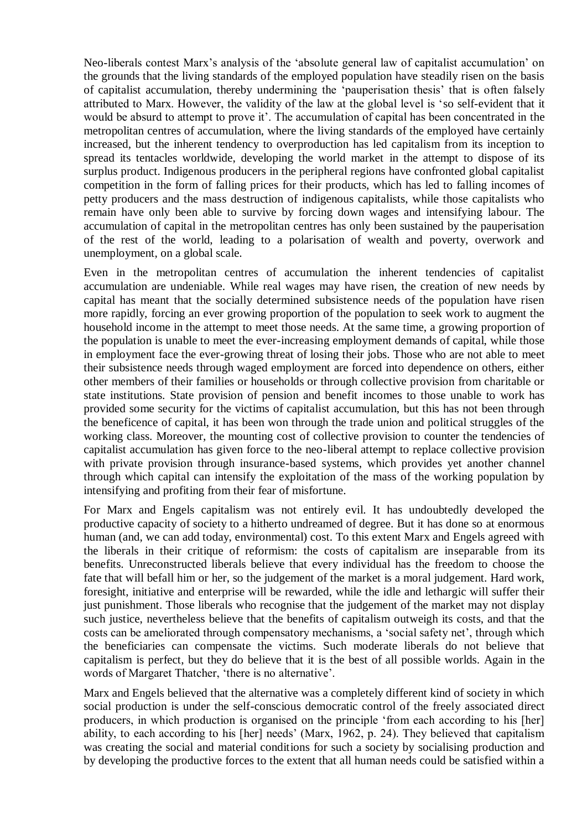Neo-liberals contest Marx's analysis of the 'absolute general law of capitalist accumulation' on the grounds that the living standards of the employed population have steadily risen on the basis of capitalist accumulation, thereby undermining the 'pauperisation thesis' that is often falsely attributed to Marx. However, the validity of the law at the global level is 'so self-evident that it would be absurd to attempt to prove it'. The accumulation of capital has been concentrated in the metropolitan centres of accumulation, where the living standards of the employed have certainly increased, but the inherent tendency to overproduction has led capitalism from its inception to spread its tentacles worldwide, developing the world market in the attempt to dispose of its surplus product. Indigenous producers in the peripheral regions have confronted global capitalist competition in the form of falling prices for their products, which has led to falling incomes of petty producers and the mass destruction of indigenous capitalists, while those capitalists who remain have only been able to survive by forcing down wages and intensifying labour. The accumulation of capital in the metropolitan centres has only been sustained by the pauperisation of the rest of the world, leading to a polarisation of wealth and poverty, overwork and unemployment, on a global scale.

Even in the metropolitan centres of accumulation the inherent tendencies of capitalist accumulation are undeniable. While real wages may have risen, the creation of new needs by capital has meant that the socially determined subsistence needs of the population have risen more rapidly, forcing an ever growing proportion of the population to seek work to augment the household income in the attempt to meet those needs. At the same time, a growing proportion of the population is unable to meet the ever-increasing employment demands of capital, while those in employment face the ever-growing threat of losing their jobs. Those who are not able to meet their subsistence needs through waged employment are forced into dependence on others, either other members of their families or households or through collective provision from charitable or state institutions. State provision of pension and benefit incomes to those unable to work has provided some security for the victims of capitalist accumulation, but this has not been through the beneficence of capital, it has been won through the trade union and political struggles of the working class. Moreover, the mounting cost of collective provision to counter the tendencies of capitalist accumulation has given force to the neo-liberal attempt to replace collective provision with private provision through insurance-based systems, which provides yet another channel through which capital can intensify the exploitation of the mass of the working population by intensifying and profiting from their fear of misfortune.

For Marx and Engels capitalism was not entirely evil. It has undoubtedly developed the productive capacity of society to a hitherto undreamed of degree. But it has done so at enormous human (and, we can add today, environmental) cost. To this extent Marx and Engels agreed with the liberals in their critique of reformism: the costs of capitalism are inseparable from its benefits. Unreconstructed liberals believe that every individual has the freedom to choose the fate that will befall him or her, so the judgement of the market is a moral judgement. Hard work, foresight, initiative and enterprise will be rewarded, while the idle and lethargic will suffer their just punishment. Those liberals who recognise that the judgement of the market may not display such justice, nevertheless believe that the benefits of capitalism outweigh its costs, and that the costs can be ameliorated through compensatory mechanisms, a 'social safety net', through which the beneficiaries can compensate the victims. Such moderate liberals do not believe that capitalism is perfect, but they do believe that it is the best of all possible worlds. Again in the words of Margaret Thatcher, 'there is no alternative'.

Marx and Engels believed that the alternative was a completely different kind of society in which social production is under the self-conscious democratic control of the freely associated direct producers, in which production is organised on the principle 'from each according to his [her] ability, to each according to his [her] needs' (Marx, 1962, p. 24). They believed that capitalism was creating the social and material conditions for such a society by socialising production and by developing the productive forces to the extent that all human needs could be satisfied within a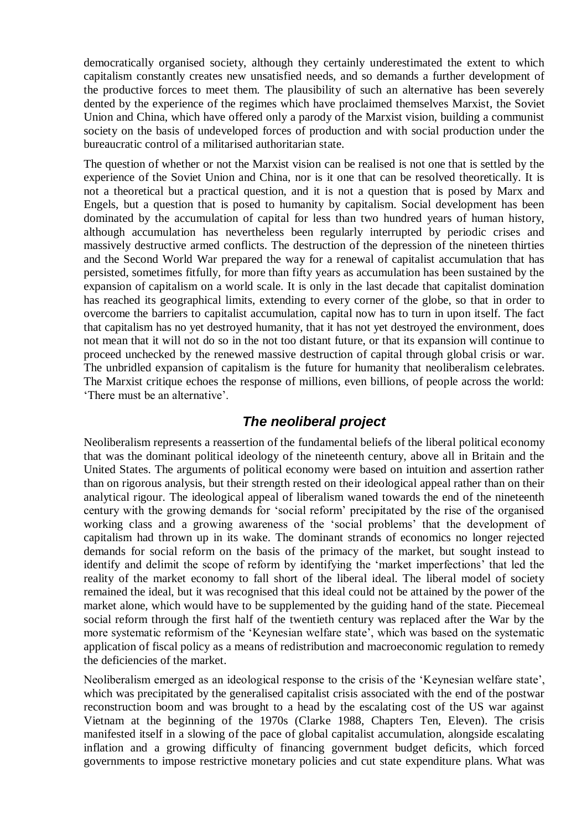democratically organised society, although they certainly underestimated the extent to which capitalism constantly creates new unsatisfied needs, and so demands a further development of the productive forces to meet them. The plausibility of such an alternative has been severely dented by the experience of the regimes which have proclaimed themselves Marxist, the Soviet Union and China, which have offered only a parody of the Marxist vision, building a communist society on the basis of undeveloped forces of production and with social production under the bureaucratic control of a militarised authoritarian state.

The question of whether or not the Marxist vision can be realised is not one that is settled by the experience of the Soviet Union and China, nor is it one that can be resolved theoretically. It is not a theoretical but a practical question, and it is not a question that is posed by Marx and Engels, but a question that is posed to humanity by capitalism. Social development has been dominated by the accumulation of capital for less than two hundred years of human history, although accumulation has nevertheless been regularly interrupted by periodic crises and massively destructive armed conflicts. The destruction of the depression of the nineteen thirties and the Second World War prepared the way for a renewal of capitalist accumulation that has persisted, sometimes fitfully, for more than fifty years as accumulation has been sustained by the expansion of capitalism on a world scale. It is only in the last decade that capitalist domination has reached its geographical limits, extending to every corner of the globe, so that in order to overcome the barriers to capitalist accumulation, capital now has to turn in upon itself. The fact that capitalism has no yet destroyed humanity, that it has not yet destroyed the environment, does not mean that it will not do so in the not too distant future, or that its expansion will continue to proceed unchecked by the renewed massive destruction of capital through global crisis or war. The unbridled expansion of capitalism is the future for humanity that neoliberalism celebrates. The Marxist critique echoes the response of millions, even billions, of people across the world: 'There must be an alternative'.

# *The neoliberal project*

Neoliberalism represents a reassertion of the fundamental beliefs of the liberal political economy that was the dominant political ideology of the nineteenth century, above all in Britain and the United States. The arguments of political economy were based on intuition and assertion rather than on rigorous analysis, but their strength rested on their ideological appeal rather than on their analytical rigour. The ideological appeal of liberalism waned towards the end of the nineteenth century with the growing demands for 'social reform' precipitated by the rise of the organised working class and a growing awareness of the 'social problems' that the development of capitalism had thrown up in its wake. The dominant strands of economics no longer rejected demands for social reform on the basis of the primacy of the market, but sought instead to identify and delimit the scope of reform by identifying the 'market imperfections' that led the reality of the market economy to fall short of the liberal ideal. The liberal model of society remained the ideal, but it was recognised that this ideal could not be attained by the power of the market alone, which would have to be supplemented by the guiding hand of the state. Piecemeal social reform through the first half of the twentieth century was replaced after the War by the more systematic reformism of the 'Keynesian welfare state', which was based on the systematic application of fiscal policy as a means of redistribution and macroeconomic regulation to remedy the deficiencies of the market.

Neoliberalism emerged as an ideological response to the crisis of the 'Keynesian welfare state', which was precipitated by the generalised capitalist crisis associated with the end of the postwar reconstruction boom and was brought to a head by the escalating cost of the US war against Vietnam at the beginning of the 1970s (Clarke 1988, Chapters Ten, Eleven). The crisis manifested itself in a slowing of the pace of global capitalist accumulation, alongside escalating inflation and a growing difficulty of financing government budget deficits, which forced governments to impose restrictive monetary policies and cut state expenditure plans. What was